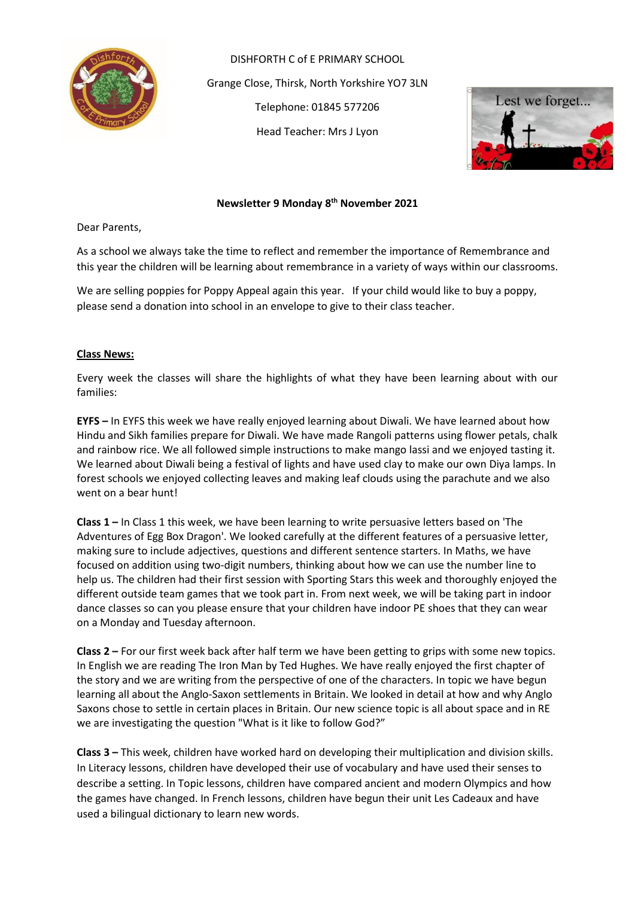

DISHFORTH C of E PRIMARY SCHOOL Grange Close, Thirsk, North Yorkshire YO7 3LN Telephone: 01845 577206 Head Teacher: Mrs J Lyon



### **Newsletter 9 Monday 8th November 2021**

Dear Parents,

As a school we always take the time to reflect and remember the importance of Remembrance and this year the children will be learning about remembrance in a variety of ways within our classrooms.

We are selling poppies for Poppy Appeal again this year. If your child would like to buy a poppy, please send a donation into school in an envelope to give to their class teacher.

### **Class News:**

Every week the classes will share the highlights of what they have been learning about with our families:

**EYFS –** In EYFS this week we have really enjoyed learning about Diwali. We have learned about how Hindu and Sikh families prepare for Diwali. We have made Rangoli patterns using flower petals, chalk and rainbow rice. We all followed simple instructions to make mango lassi and we enjoyed tasting it. We learned about Diwali being a festival of lights and have used clay to make our own Diya lamps. In forest schools we enjoyed collecting leaves and making leaf clouds using the parachute and we also went on a bear hunt!

**Class 1 –** In Class 1 this week, we have been learning to write persuasive letters based on 'The Adventures of Egg Box Dragon'. We looked carefully at the different features of a persuasive letter, making sure to include adjectives, questions and different sentence starters. In Maths, we have focused on addition using two-digit numbers, thinking about how we can use the number line to help us. The children had their first session with Sporting Stars this week and thoroughly enjoyed the different outside team games that we took part in. From next week, we will be taking part in indoor dance classes so can you please ensure that your children have indoor PE shoes that they can wear on a Monday and Tuesday afternoon.

**Class 2 –** For our first week back after half term we have been getting to grips with some new topics. In English we are reading The Iron Man by Ted Hughes. We have really enjoyed the first chapter of the story and we are writing from the perspective of one of the characters. In topic we have begun learning all about the Anglo-Saxon settlements in Britain. We looked in detail at how and why Anglo Saxons chose to settle in certain places in Britain. Our new science topic is all about space and in RE we are investigating the question "What is it like to follow God?"

**Class 3 –** This week, children have worked hard on developing their multiplication and division skills. In Literacy lessons, children have developed their use of vocabulary and have used their senses to describe a setting. In Topic lessons, children have compared ancient and modern Olympics and how the games have changed. In French lessons, children have begun their unit Les Cadeaux and have used a bilingual dictionary to learn new words.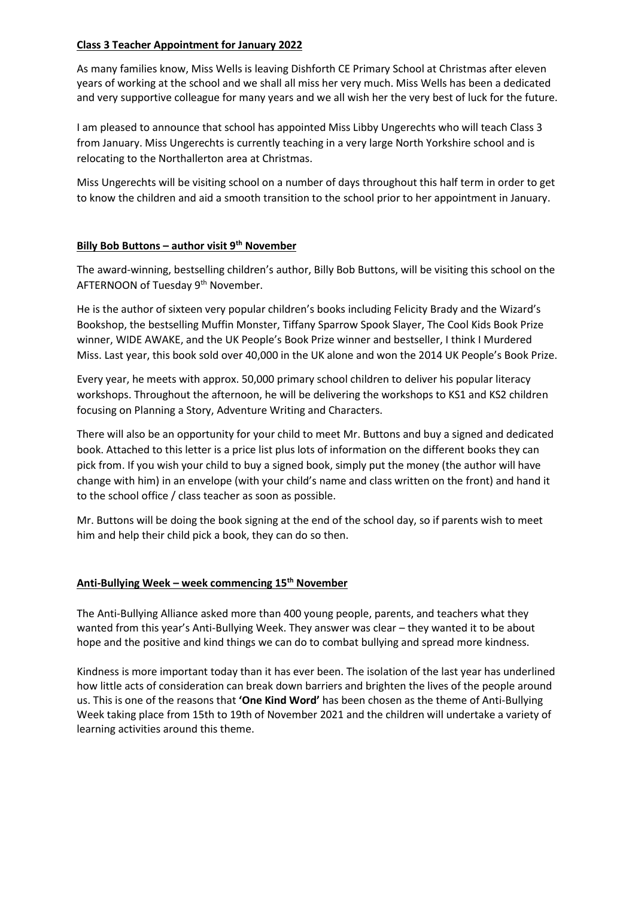### **Class 3 Teacher Appointment for January 2022**

As many families know, Miss Wells is leaving Dishforth CE Primary School at Christmas after eleven years of working at the school and we shall all miss her very much. Miss Wells has been a dedicated and very supportive colleague for many years and we all wish her the very best of luck for the future.

I am pleased to announce that school has appointed Miss Libby Ungerechts who will teach Class 3 from January. Miss Ungerechts is currently teaching in a very large North Yorkshire school and is relocating to the Northallerton area at Christmas.

Miss Ungerechts will be visiting school on a number of days throughout this half term in order to get to know the children and aid a smooth transition to the school prior to her appointment in January.

### **Billy Bob Buttons – author visit 9th November**

The award-winning, bestselling children's author, Billy Bob Buttons, will be visiting this school on the AFTERNOON of Tuesday 9<sup>th</sup> November.

He is the author of sixteen very popular children's books including Felicity Brady and the Wizard's Bookshop, the bestselling Muffin Monster, Tiffany Sparrow Spook Slayer, The Cool Kids Book Prize winner, WIDE AWAKE, and the UK People's Book Prize winner and bestseller, I think I Murdered Miss. Last year, this book sold over 40,000 in the UK alone and won the 2014 UK People's Book Prize.

Every year, he meets with approx. 50,000 primary school children to deliver his popular literacy workshops. Throughout the afternoon, he will be delivering the workshops to KS1 and KS2 children focusing on Planning a Story, Adventure Writing and Characters.

There will also be an opportunity for your child to meet Mr. Buttons and buy a signed and dedicated book. Attached to this letter is a price list plus lots of information on the different books they can pick from. If you wish your child to buy a signed book, simply put the money (the author will have change with him) in an envelope (with your child's name and class written on the front) and hand it to the school office / class teacher as soon as possible.

Mr. Buttons will be doing the book signing at the end of the school day, so if parents wish to meet him and help their child pick a book, they can do so then.

### **Anti-Bullying Week – week commencing 15th November**

The Anti-Bullying Alliance asked more than 400 young people, parents, and teachers what they wanted from this year's Anti-Bullying Week. They answer was clear – they wanted it to be about hope and the positive and kind things we can do to combat bullying and spread more kindness.

Kindness is more important today than it has ever been. The isolation of the last year has underlined how little acts of consideration can break down barriers and brighten the lives of the people around us. This is one of the reasons that **'One Kind Word'** has been chosen as the theme of Anti-Bullying Week taking place from 15th to 19th of November 2021 and the children will undertake a variety of learning activities around this theme.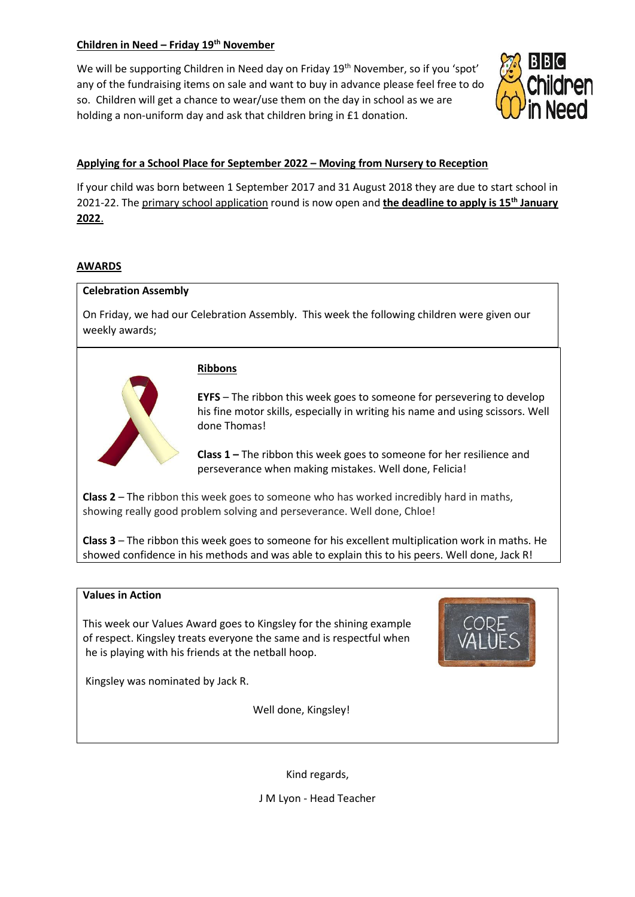## **Children in Need – Friday 19th November**

We will be supporting Children in Need day on Friday 19<sup>th</sup> November, so if you 'spot' any of the fundraising items on sale and want to buy in advance please feel free to do so. Children will get a chance to wear/use them on the day in school as we are holding a non-uniform day and ask that children bring in £1 donation.



# **Applying for a School Place for September 2022 – Moving from Nursery to Reception**

If your child was born between 1 September 2017 and 31 August 2018 they are due to start school in 2021-22. The [primary school application](https://www.northyorks.gov.uk/applying-place-primary-school) round is now open and **the deadline to apply is 15th January 2022**.

### **AWARDS**

### **Celebration Assembly**

On Friday, we had our Celebration Assembly. This week the following children were given our weekly awards;

### **Ribbons**



**EYFS** – The ribbon this week goes to someone for persevering to develop his fine motor skills, especially in writing his name and using scissors. Well done Thomas!

**Class 1 –** The ribbon this week goes to someone for her resilience and perseverance when making mistakes. Well done, Felicia!

**Class 2** – The ribbon this week goes to someone who has worked incredibly hard in maths, showing really good problem solving and perseverance. Well done, Chloe!

**Class 3** – The ribbon this week goes to someone for his excellent multiplication work in maths. He showed confidence in his methods and was able to explain this to his peers. Well done, Jack R!

#### **Values in Action**

This week our Values Award goes to Kingsley for the shining example of respect. Kingsley treats everyone the same and is respectful when he is playing with his friends at the netball hoop.



Kingsley was nominated by Jack R.

Well done, Kingsley!

Kind regards,

J M Lyon - Head Teacher